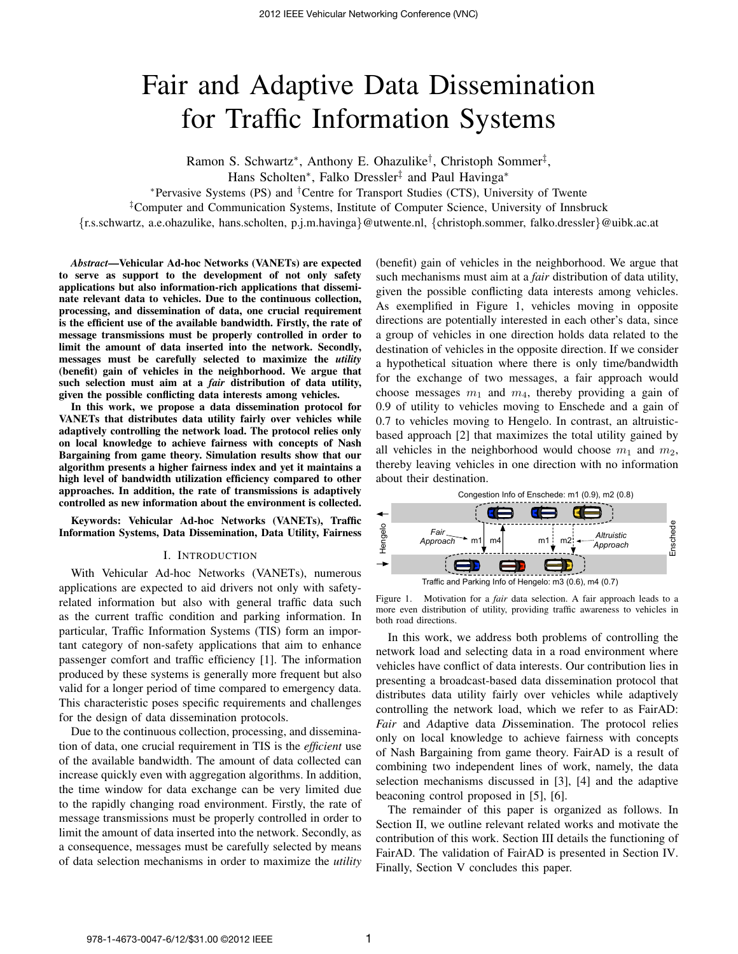# Fair and Adaptive Data Dissemination for Traffic Information Systems

Ramon S. Schwartz<sup>\*</sup>, Anthony E. Ohazulike<sup>†</sup>, Christoph Sommer<sup>‡</sup>, Hans Scholten<sup>∗</sup> , Falko Dressler‡ and Paul Havinga<sup>∗</sup>

<sup>∗</sup>Pervasive Systems (PS) and †Centre for Transport Studies (CTS), University of Twente

‡Computer and Communication Systems, Institute of Computer Science, University of Innsbruck

{r.s.schwartz, a.e.ohazulike, hans.scholten, p.j.m.havinga}@utwente.nl, {christoph.sommer, falko.dressler}@uibk.ac.at

*Abstract*—Vehicular Ad-hoc Networks (VANETs) are expected to serve as support to the development of not only safety applications but also information-rich applications that disseminate relevant data to vehicles. Due to the continuous collection, processing, and dissemination of data, one crucial requirement is the efficient use of the available bandwidth. Firstly, the rate of message transmissions must be properly controlled in order to limit the amount of data inserted into the network. Secondly, messages must be carefully selected to maximize the *utility* (benefit) gain of vehicles in the neighborhood. We argue that such selection must aim at a *fair* distribution of data utility, given the possible conflicting data interests among vehicles.

In this work, we propose a data dissemination protocol for VANETs that distributes data utility fairly over vehicles while adaptively controlling the network load. The protocol relies only on local knowledge to achieve fairness with concepts of Nash Bargaining from game theory. Simulation results show that our algorithm presents a higher fairness index and yet it maintains a high level of bandwidth utilization efficiency compared to other approaches. In addition, the rate of transmissions is adaptively controlled as new information about the environment is collected.

Keywords: Vehicular Ad-hoc Networks (VANETs), Traffic Information Systems, Data Dissemination, Data Utility, Fairness

#### I. INTRODUCTION

With Vehicular Ad-hoc Networks (VANETs), numerous applications are expected to aid drivers not only with safetyrelated information but also with general traffic data such as the current traffic condition and parking information. In particular, Traffic Information Systems (TIS) form an important category of non-safety applications that aim to enhance passenger comfort and traffic efficiency [1]. The information produced by these systems is generally more frequent but also valid for a longer period of time compared to emergency data. This characteristic poses specific requirements and challenges for the design of data dissemination protocols.

Due to the continuous collection, processing, and dissemination of data, one crucial requirement in TIS is the *efficient* use of the available bandwidth. The amount of data collected can increase quickly even with aggregation algorithms. In addition, the time window for data exchange can be very limited due to the rapidly changing road environment. Firstly, the rate of message transmissions must be properly controlled in order to limit the amount of data inserted into the network. Secondly, as a consequence, messages must be carefully selected by means of data selection mechanisms in order to maximize the *utility* (benefit) gain of vehicles in the neighborhood. We argue that such mechanisms must aim at a *fair* distribution of data utility, given the possible conflicting data interests among vehicles. As exemplified in Figure 1, vehicles moving in opposite directions are potentially interested in each other's data, since a group of vehicles in one direction holds data related to the destination of vehicles in the opposite direction. If we consider a hypothetical situation where there is only time/bandwidth for the exchange of two messages, a fair approach would choose messages  $m_1$  and  $m_4$ , thereby providing a gain of 0.9 of utility to vehicles moving to Enschede and a gain of 0.7 to vehicles moving to Hengelo. In contrast, an altruisticbased approach [2] that maximizes the total utility gained by all vehicles in the neighborhood would choose  $m_1$  and  $m_2$ , thereby leaving vehicles in one direction with no information about their destination.



Traffic and Parking Info of Hengelo: m3 (0.6), m4 (0.7)

Figure 1. Motivation for a *fair* data selection. A fair approach leads to a more even distribution of utility, providing traffic awareness to vehicles in both road directions.

In this work, we address both problems of controlling the network load and selecting data in a road environment where vehicles have conflict of data interests. Our contribution lies in presenting a broadcast-based data dissemination protocol that distributes data utility fairly over vehicles while adaptively controlling the network load, which we refer to as FairAD: *Fair* and *A*daptive data *D*issemination. The protocol relies only on local knowledge to achieve fairness with concepts of Nash Bargaining from game theory. FairAD is a result of combining two independent lines of work, namely, the data selection mechanisms discussed in [3], [4] and the adaptive beaconing control proposed in [5], [6].

The remainder of this paper is organized as follows. In Section II, we outline relevant related works and motivate the contribution of this work. Section III details the functioning of FairAD. The validation of FairAD is presented in Section IV. Finally, Section V concludes this paper.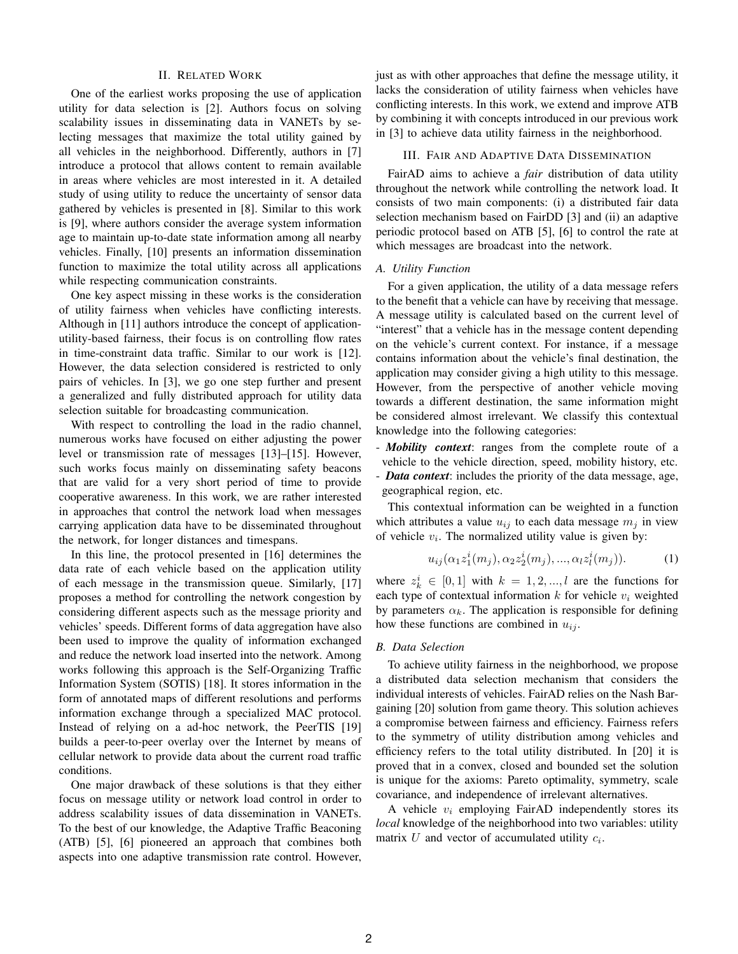#### II. RELATED WORK

One of the earliest works proposing the use of application utility for data selection is [2]. Authors focus on solving scalability issues in disseminating data in VANETs by selecting messages that maximize the total utility gained by all vehicles in the neighborhood. Differently, authors in [7] introduce a protocol that allows content to remain available in areas where vehicles are most interested in it. A detailed study of using utility to reduce the uncertainty of sensor data gathered by vehicles is presented in [8]. Similar to this work is [9], where authors consider the average system information age to maintain up-to-date state information among all nearby vehicles. Finally, [10] presents an information dissemination function to maximize the total utility across all applications while respecting communication constraints.

One key aspect missing in these works is the consideration of utility fairness when vehicles have conflicting interests. Although in [11] authors introduce the concept of applicationutility-based fairness, their focus is on controlling flow rates in time-constraint data traffic. Similar to our work is [12]. However, the data selection considered is restricted to only pairs of vehicles. In [3], we go one step further and present a generalized and fully distributed approach for utility data selection suitable for broadcasting communication.

With respect to controlling the load in the radio channel, numerous works have focused on either adjusting the power level or transmission rate of messages [13]–[15]. However, such works focus mainly on disseminating safety beacons that are valid for a very short period of time to provide cooperative awareness. In this work, we are rather interested in approaches that control the network load when messages carrying application data have to be disseminated throughout the network, for longer distances and timespans.

In this line, the protocol presented in [16] determines the data rate of each vehicle based on the application utility of each message in the transmission queue. Similarly, [17] proposes a method for controlling the network congestion by considering different aspects such as the message priority and vehicles' speeds. Different forms of data aggregation have also been used to improve the quality of information exchanged and reduce the network load inserted into the network. Among works following this approach is the Self-Organizing Traffic Information System (SOTIS) [18]. It stores information in the form of annotated maps of different resolutions and performs information exchange through a specialized MAC protocol. Instead of relying on a ad-hoc network, the PeerTIS [19] builds a peer-to-peer overlay over the Internet by means of cellular network to provide data about the current road traffic conditions.

One major drawback of these solutions is that they either focus on message utility or network load control in order to address scalability issues of data dissemination in VANETs. To the best of our knowledge, the Adaptive Traffic Beaconing (ATB) [5], [6] pioneered an approach that combines both aspects into one adaptive transmission rate control. However, just as with other approaches that define the message utility, it lacks the consideration of utility fairness when vehicles have conflicting interests. In this work, we extend and improve ATB by combining it with concepts introduced in our previous work in [3] to achieve data utility fairness in the neighborhood.

## III. FAIR AND ADAPTIVE DATA DISSEMINATION

FairAD aims to achieve a *fair* distribution of data utility throughout the network while controlling the network load. It consists of two main components: (i) a distributed fair data selection mechanism based on FairDD [3] and (ii) an adaptive periodic protocol based on ATB [5], [6] to control the rate at which messages are broadcast into the network.

#### *A. Utility Function*

For a given application, the utility of a data message refers to the benefit that a vehicle can have by receiving that message. A message utility is calculated based on the current level of "interest" that a vehicle has in the message content depending on the vehicle's current context. For instance, if a message contains information about the vehicle's final destination, the application may consider giving a high utility to this message. However, from the perspective of another vehicle moving towards a different destination, the same information might be considered almost irrelevant. We classify this contextual knowledge into the following categories:

- *Mobility context*: ranges from the complete route of a vehicle to the vehicle direction, speed, mobility history, etc.
- *Data context*: includes the priority of the data message, age, geographical region, etc.

This contextual information can be weighted in a function which attributes a value  $u_{ij}$  to each data message  $m_j$  in view of vehicle  $v_i$ . The normalized utility value is given by:

$$
u_{ij}(\alpha_1 z_1^i(m_j), \alpha_2 z_2^i(m_j), ..., \alpha_l z_l^i(m_j)). \tag{1}
$$

where  $z_k^i \in [0,1]$  with  $k = 1, 2, ..., l$  are the functions for each type of contextual information  $k$  for vehicle  $v_i$  weighted by parameters  $\alpha_k$ . The application is responsible for defining how these functions are combined in  $u_{ij}$ .

#### *B. Data Selection*

To achieve utility fairness in the neighborhood, we propose a distributed data selection mechanism that considers the individual interests of vehicles. FairAD relies on the Nash Bargaining [20] solution from game theory. This solution achieves a compromise between fairness and efficiency. Fairness refers to the symmetry of utility distribution among vehicles and efficiency refers to the total utility distributed. In [20] it is proved that in a convex, closed and bounded set the solution is unique for the axioms: Pareto optimality, symmetry, scale covariance, and independence of irrelevant alternatives.

A vehicle  $v_i$  employing FairAD independently stores its *local* knowledge of the neighborhood into two variables: utility matrix U and vector of accumulated utility  $c_i$ .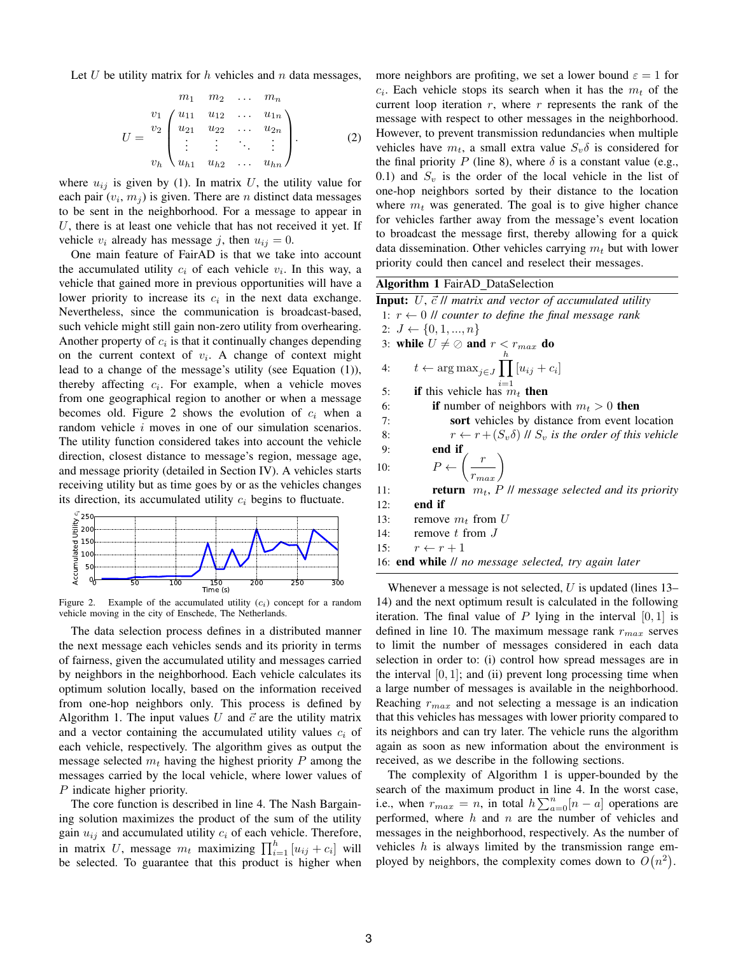Let U be utility matrix for  $h$  vehicles and  $n$  data messages,

$$
U = \begin{pmatrix} m_1 & m_2 & \dots & m_n \\ v_1 & u_{11} & u_{12} & \dots & u_{1n} \\ u_{21} & u_{22} & \dots & u_{2n} \\ \vdots & \vdots & \ddots & \vdots \\ u_{h1} & u_{h2} & \dots & u_{hn} \end{pmatrix}.
$$
 (2)

where  $u_{ij}$  is given by (1). In matrix U, the utility value for each pair  $(v_i, m_j)$  is given. There are *n* distinct data messages to be sent in the neighborhood. For a message to appear in  $U$ , there is at least one vehicle that has not received it yet. If vehicle  $v_i$  already has message j, then  $u_{ij} = 0$ .

One main feature of FairAD is that we take into account the accumulated utility  $c_i$  of each vehicle  $v_i$ . In this way, a vehicle that gained more in previous opportunities will have a lower priority to increase its  $c_i$  in the next data exchange. Nevertheless, since the communication is broadcast-based, such vehicle might still gain non-zero utility from overhearing. Another property of  $c_i$  is that it continually changes depending on the current context of  $v_i$ . A change of context might lead to a change of the message's utility (see Equation (1)), thereby affecting  $c_i$ . For example, when a vehicle moves from one geographical region to another or when a message becomes old. Figure 2 shows the evolution of  $c_i$  when a random vehicle i moves in one of our simulation scenarios. The utility function considered takes into account the vehicle direction, closest distance to message's region, message age, and message priority (detailed in Section IV). A vehicles starts receiving utility but as time goes by or as the vehicles changes its direction, its accumulated utility  $c_i$  begins to fluctuate.



Figure 2. Example of the accumulated utility  $(c_i)$  concept for a random vehicle moving in the city of Enschede, The Netherlands.

The data selection process defines in a distributed manner the next message each vehicles sends and its priority in terms of fairness, given the accumulated utility and messages carried by neighbors in the neighborhood. Each vehicle calculates its optimum solution locally, based on the information received from one-hop neighbors only. This process is defined by Algorithm 1. The input values U and  $\vec{c}$  are the utility matrix and a vector containing the accumulated utility values  $c_i$  of each vehicle, respectively. The algorithm gives as output the message selected  $m_t$  having the highest priority  $P$  among the messages carried by the local vehicle, where lower values of P indicate higher priority.

The core function is described in line 4. The Nash Bargaining solution maximizes the product of the sum of the utility gain  $u_{ij}$  and accumulated utility  $c_i$  of each vehicle. Therefore, in matrix U, message  $m_t$  maximizing  $\prod_{i=1}^h [u_{ij} + c_i]$  will be selected. To guarantee that this product is higher when more neighbors are profiting, we set a lower bound  $\varepsilon = 1$  for  $c_i$ . Each vehicle stops its search when it has the  $m_t$  of the current loop iteration  $r$ , where  $r$  represents the rank of the message with respect to other messages in the neighborhood. However, to prevent transmission redundancies when multiple vehicles have  $m_t$ , a small extra value  $S_v \delta$  is considered for the final priority P (line 8), where  $\delta$  is a constant value (e.g., 0.1) and  $S_v$  is the order of the local vehicle in the list of one-hop neighbors sorted by their distance to the location where  $m_t$  was generated. The goal is to give higher chance for vehicles farther away from the message's event location to broadcast the message first, thereby allowing for a quick data dissemination. Other vehicles carrying  $m_t$  but with lower priority could then cancel and reselect their messages.

## Algorithm 1 FairAD\_DataSelection

**Input:** U,  $\vec{c}$  // *matrix and vector of accumulated utility* 1:  $r \leftarrow 0$  // *counter to define the final message rank* 2:  $J \leftarrow \{0, 1, ..., n\}$ 3: while  $U \neq \emptyset$  and  $r < r_{max}$  do 4:  $t \leftarrow \arg \max_{j \in J} \prod [u_{ij} + c_i]$ 5: **if** this vehicle has  $m_t$  then 6: **if** number of neighbors with  $m_t > 0$  then 7: sort vehicles by distance from event location 8:  $r \leftarrow r + (S_v \delta)$  //  $S_v$  *is the order of this vehicle* 9: end if 10:  $P \leftarrow \left(\frac{r}{r_{max}}\right)$ 11: **return**  $m_t$ , P // *message selected and its priority* 12: end if 13: remove  $m_t$  from  $U$ 14: remove  $t$  from  $J$ 15:  $r \leftarrow r + 1$ 16: end while // *no message selected, try again later*

Whenever a message is not selected,  $U$  is updated (lines 13– 14) and the next optimum result is calculated in the following iteration. The final value of P lying in the interval  $[0, 1]$  is defined in line 10. The maximum message rank  $r_{max}$  serves to limit the number of messages considered in each data selection in order to: (i) control how spread messages are in the interval  $[0, 1]$ ; and (ii) prevent long processing time when a large number of messages is available in the neighborhood. Reaching  $r_{max}$  and not selecting a message is an indication that this vehicles has messages with lower priority compared to its neighbors and can try later. The vehicle runs the algorithm again as soon as new information about the environment is received, as we describe in the following sections.

The complexity of Algorithm 1 is upper-bounded by the search of the maximum product in line 4. In the worst case, i.e., when  $r_{max} = n$ , in total  $h \sum_{a=0}^{n} [n - a]$  operations are performed, where  $h$  and  $n$  are the number of vehicles and messages in the neighborhood, respectively. As the number of vehicles  $h$  is always limited by the transmission range employed by neighbors, the complexity comes down to  $O(n^2)$ .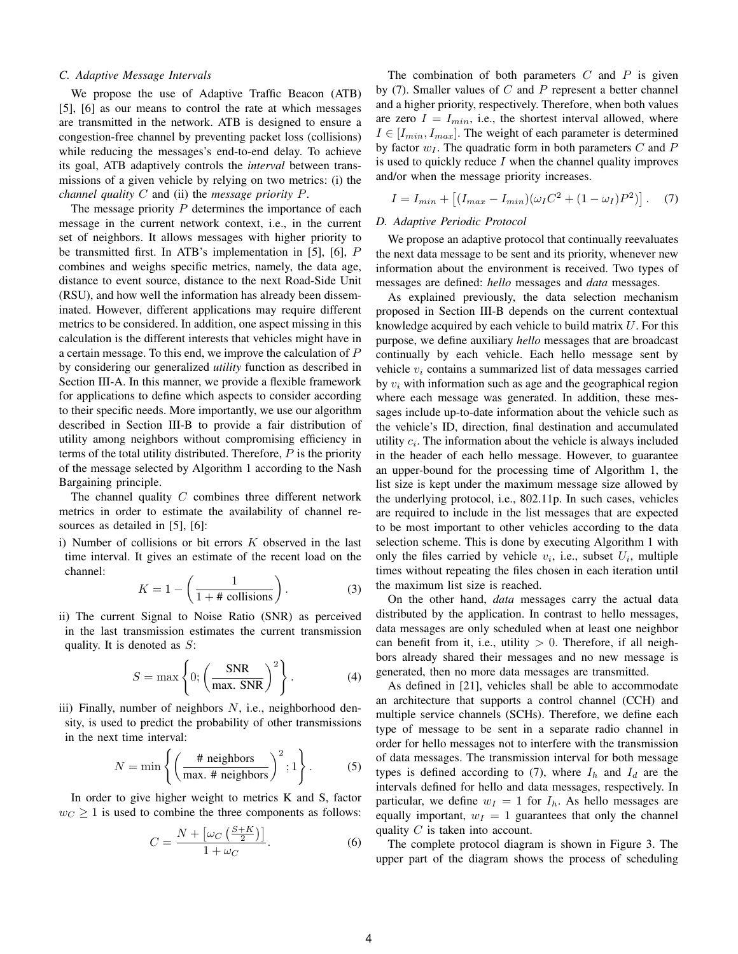#### *C. Adaptive Message Intervals*

We propose the use of Adaptive Traffic Beacon (ATB) [5], [6] as our means to control the rate at which messages are transmitted in the network. ATB is designed to ensure a congestion-free channel by preventing packet loss (collisions) while reducing the messages's end-to-end delay. To achieve its goal, ATB adaptively controls the *interval* between transmissions of a given vehicle by relying on two metrics: (i) the *channel quality* C and (ii) the *message priority* P.

The message priority  $P$  determines the importance of each message in the current network context, i.e., in the current set of neighbors. It allows messages with higher priority to be transmitted first. In ATB's implementation in [5], [6], P combines and weighs specific metrics, namely, the data age, distance to event source, distance to the next Road-Side Unit (RSU), and how well the information has already been disseminated. However, different applications may require different metrics to be considered. In addition, one aspect missing in this calculation is the different interests that vehicles might have in a certain message. To this end, we improve the calculation of P by considering our generalized *utility* function as described in Section III-A. In this manner, we provide a flexible framework for applications to define which aspects to consider according to their specific needs. More importantly, we use our algorithm described in Section III-B to provide a fair distribution of utility among neighbors without compromising efficiency in terms of the total utility distributed. Therefore,  $P$  is the priority of the message selected by Algorithm 1 according to the Nash Bargaining principle.

The channel quality  $C$  combines three different network metrics in order to estimate the availability of channel resources as detailed in [5], [6]:

i) Number of collisions or bit errors  $K$  observed in the last time interval. It gives an estimate of the recent load on the channel:

$$
K = 1 - \left(\frac{1}{1 + \text{\# collisions}}\right). \tag{3}
$$

ii) The current Signal to Noise Ratio (SNR) as perceived in the last transmission estimates the current transmission quality. It is denoted as  $S$ :

$$
S = \max\left\{0; \left(\frac{\text{SNR}}{\text{max. SNR}}\right)^2\right\}.
$$
 (4)

iii) Finally, number of neighbors  $N$ , i.e., neighborhood density, is used to predict the probability of other transmissions in the next time interval:

$$
N = \min \left\{ \left( \frac{\text{\# neighbors}}{\max. \text{\# neighbors}} \right)^2; 1 \right\}. \tag{5}
$$

In order to give higher weight to metrics K and S, factor  $w_C \geq 1$  is used to combine the three components as follows:

$$
C = \frac{N + \left[\omega_C \left(\frac{S + K}{2}\right)\right]}{1 + \omega_C}.
$$
 (6)

The combination of both parameters  $C$  and  $P$  is given by  $(7)$ . Smaller values of C and P represent a better channel and a higher priority, respectively. Therefore, when both values are zero  $I = I_{min}$ , i.e., the shortest interval allowed, where  $I \in [I_{min}, I_{max}]$ . The weight of each parameter is determined by factor  $w_I$ . The quadratic form in both parameters C and P is used to quickly reduce  $I$  when the channel quality improves and/or when the message priority increases.

$$
I = I_{min} + [(I_{max} - I_{min})(\omega_I C^2 + (1 - \omega_I)P^2)].
$$
 (7)

#### *D. Adaptive Periodic Protocol*

We propose an adaptive protocol that continually reevaluates the next data message to be sent and its priority, whenever new information about the environment is received. Two types of messages are defined: *hello* messages and *data* messages.

As explained previously, the data selection mechanism proposed in Section III-B depends on the current contextual knowledge acquired by each vehicle to build matrix  $U$ . For this purpose, we define auxiliary *hello* messages that are broadcast continually by each vehicle. Each hello message sent by vehicle  $v_i$  contains a summarized list of data messages carried by  $v_i$  with information such as age and the geographical region where each message was generated. In addition, these messages include up-to-date information about the vehicle such as the vehicle's ID, direction, final destination and accumulated utility  $c_i$ . The information about the vehicle is always included in the header of each hello message. However, to guarantee an upper-bound for the processing time of Algorithm 1, the list size is kept under the maximum message size allowed by the underlying protocol, i.e., 802.11p. In such cases, vehicles are required to include in the list messages that are expected to be most important to other vehicles according to the data selection scheme. This is done by executing Algorithm 1 with only the files carried by vehicle  $v_i$ , i.e., subset  $U_i$ , multiple times without repeating the files chosen in each iteration until the maximum list size is reached.

On the other hand, *data* messages carry the actual data distributed by the application. In contrast to hello messages, data messages are only scheduled when at least one neighbor can benefit from it, i.e., utility  $> 0$ . Therefore, if all neighbors already shared their messages and no new message is generated, then no more data messages are transmitted.

As defined in [21], vehicles shall be able to accommodate an architecture that supports a control channel (CCH) and multiple service channels (SCHs). Therefore, we define each type of message to be sent in a separate radio channel in order for hello messages not to interfere with the transmission of data messages. The transmission interval for both message types is defined according to (7), where  $I_h$  and  $I_d$  are the intervals defined for hello and data messages, respectively. In particular, we define  $w_I = 1$  for  $I_h$ . As hello messages are equally important,  $w_I = 1$  guarantees that only the channel quality  $C$  is taken into account.

The complete protocol diagram is shown in Figure 3. The upper part of the diagram shows the process of scheduling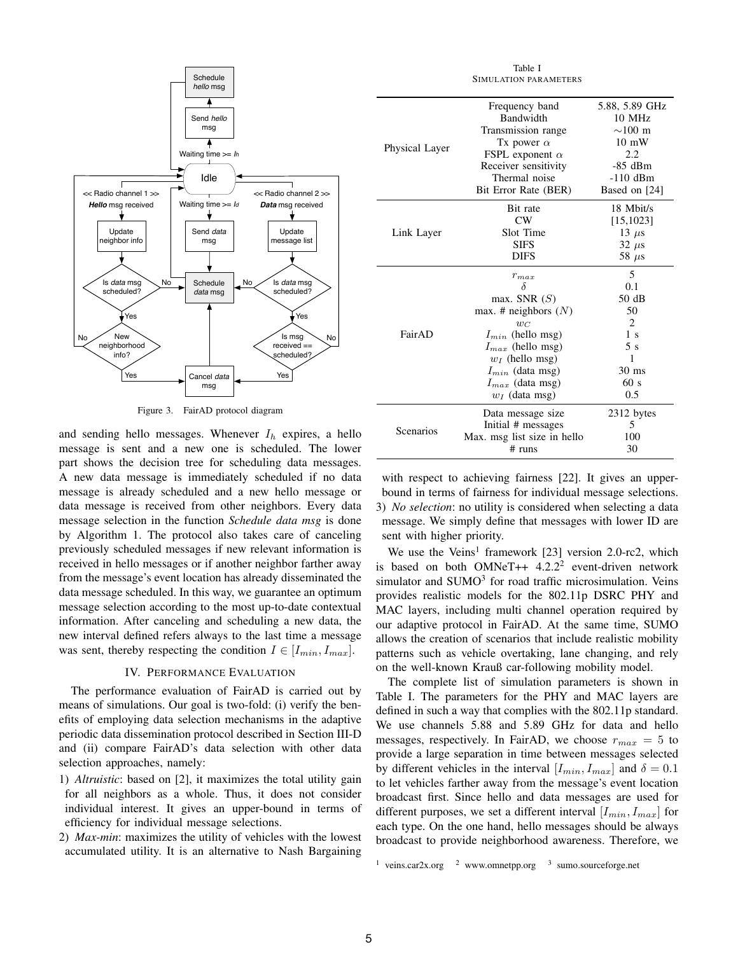

Figure 3. FairAD protocol diagram

and sending hello messages. Whenever  $I<sub>h</sub>$  expires, a hello message is sent and a new one is scheduled. The lower part shows the decision tree for scheduling data messages. A new data message is immediately scheduled if no data message is already scheduled and a new hello message or data message is received from other neighbors. Every data message selection in the function *Schedule data msg* is done by Algorithm 1. The protocol also takes care of canceling previously scheduled messages if new relevant information is received in hello messages or if another neighbor farther away from the message's event location has already disseminated the data message scheduled. In this way, we guarantee an optimum message selection according to the most up-to-date contextual information. After canceling and scheduling a new data, the new interval defined refers always to the last time a message was sent, thereby respecting the condition  $I \in [I_{min}, I_{max}]$ .

## IV. PERFORMANCE EVALUATION

The performance evaluation of FairAD is carried out by means of simulations. Our goal is two-fold: (i) verify the benefits of employing data selection mechanisms in the adaptive periodic data dissemination protocol described in Section III-D and (ii) compare FairAD's data selection with other data selection approaches, namely:

1) *Altruistic*: based on [2], it maximizes the total utility gain for all neighbors as a whole. Thus, it does not consider individual interest. It gives an upper-bound in terms of efficiency for individual message selections.

2) *Max-min*: maximizes the utility of vehicles with the lowest accumulated utility. It is an alternative to Nash Bargaining

| Table I               |  |  |
|-----------------------|--|--|
| SIMULATION PARAMETERS |  |  |

| Physical Layer | Frequency band              | 5.88, 5.89 GHz  |
|----------------|-----------------------------|-----------------|
|                | <b>Bandwidth</b>            | $10$ MHz        |
|                | Transmission range          | $\sim$ 100 m    |
|                | Tx power $\alpha$           | $10 \text{ mW}$ |
|                | FSPL exponent $\alpha$      | 2.2             |
|                | Receiver sensitivity        | $-85$ dBm       |
|                | Thermal noise               | $-110$ dBm      |
|                | Bit Error Rate (BER)        | Based on [24]   |
| Link Layer     | Bit rate                    | 18 Mbit/s       |
|                | CW                          | [15, 1023]      |
|                | Slot Time                   | 13 $\mu$ s      |
|                | <b>SIFS</b>                 | $32 \mu s$      |
|                | <b>DIFS</b>                 | 58 $\mu$ s      |
| FairAD         | $r_{max}$                   | 5               |
|                | δ                           | 0.1             |
|                | max. SNR $(S)$              | 50dB            |
|                | max. # neighbors $(N)$      | 50              |
|                | $w_C$                       | 2               |
|                | $I_{min}$ (hello msg)       | 1 <sub>s</sub>  |
|                | $I_{max}$ (hello msg)       | 5s              |
|                | $w_I$ (hello msg)           | 1               |
|                | $I_{min}$ (data msg)        | $30 \text{ ms}$ |
|                | $I_{max}$ (data msg)        | 60s             |
|                | $w_I$ (data msg)            | 0.5             |
| Scenarios      | Data message size           | 2312 bytes      |
|                | Initial # messages          | 5               |
|                | Max. msg list size in hello | 100             |
|                | $#$ runs                    | 30              |

with respect to achieving fairness [22]. It gives an upperbound in terms of fairness for individual message selections. 3) *No selection*: no utility is considered when selecting a data message. We simply define that messages with lower ID are sent with higher priority.

We use the Veins<sup>1</sup> framework [23] version 2.0-rc2, which is based on both OMNeT++  $4.2.2<sup>2</sup>$  event-driven network simulator and SUMO<sup>3</sup> for road traffic microsimulation. Veins provides realistic models for the 802.11p DSRC PHY and MAC layers, including multi channel operation required by our adaptive protocol in FairAD. At the same time, SUMO allows the creation of scenarios that include realistic mobility patterns such as vehicle overtaking, lane changing, and rely on the well-known Krauß car-following mobility model.

The complete list of simulation parameters is shown in Table I. The parameters for the PHY and MAC layers are defined in such a way that complies with the 802.11p standard. We use channels 5.88 and 5.89 GHz for data and hello messages, respectively. In FairAD, we choose  $r_{max} = 5$  to provide a large separation in time between messages selected by different vehicles in the interval  $[I_{min}, I_{max}]$  and  $\delta = 0.1$ to let vehicles farther away from the message's event location broadcast first. Since hello and data messages are used for different purposes, we set a different interval  $[I_{min}, I_{max}]$  for each type. On the one hand, hello messages should be always broadcast to provide neighborhood awareness. Therefore, we

<sup>1</sup> veins.car2x.org  $^2$  www.omnetpp.org  $^3$  sumo.sourceforge.net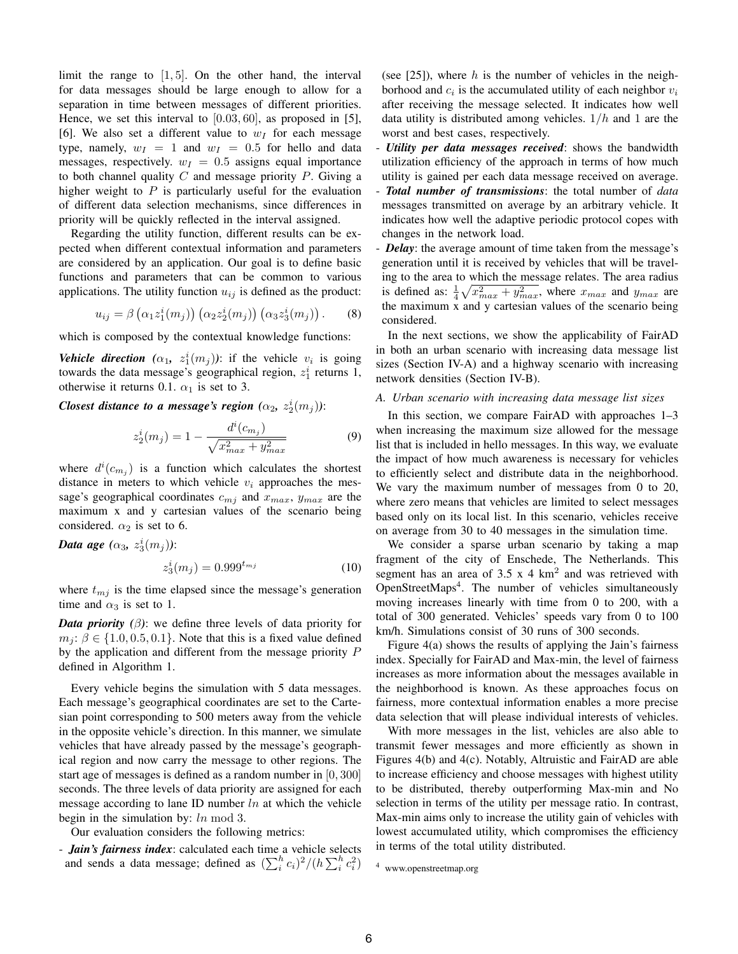limit the range to  $[1, 5]$ . On the other hand, the interval for data messages should be large enough to allow for a separation in time between messages of different priorities. Hence, we set this interval to  $[0.03, 60]$ , as proposed in [5], [6]. We also set a different value to  $w_I$  for each message type, namely,  $w_I = 1$  and  $w_I = 0.5$  for hello and data messages, respectively.  $w_I = 0.5$  assigns equal importance to both channel quality  $C$  and message priority  $P$ . Giving a higher weight to  $P$  is particularly useful for the evaluation of different data selection mechanisms, since differences in priority will be quickly reflected in the interval assigned.

Regarding the utility function, different results can be expected when different contextual information and parameters are considered by an application. Our goal is to define basic functions and parameters that can be common to various applications. The utility function  $u_{ij}$  is defined as the product:

$$
u_{ij} = \beta \left( \alpha_1 z_1^i(m_j) \right) \left( \alpha_2 z_2^i(m_j) \right) \left( \alpha_3 z_3^i(m_j) \right). \tag{8}
$$

which is composed by the contextual knowledge functions:

*Vehicle direction*  $(\alpha_1, z_1^i(m_j))$ : if the vehicle  $v_i$  is going towards the data message's geographical region,  $z_1^i$  returns 1, otherwise it returns 0.1.  $\alpha_1$  is set to 3.

*Closest distance to a message's region*  $(\alpha_2, z_2^i(m_j))$ :

$$
z_2^i(m_j) = 1 - \frac{d^i(c_{m_j})}{\sqrt{x_{max}^2 + y_{max}^2}} \tag{9}
$$

where  $d^{i}(c_{m_{j}})$  is a function which calculates the shortest distance in meters to which vehicle  $v_i$  approaches the message's geographical coordinates  $c_{mj}$  and  $x_{max}$ ,  $y_{max}$  are the maximum x and y cartesian values of the scenario being considered.  $\alpha_2$  is set to 6.

Data age  $(\alpha_3, z_3^i(m_j))$ :

$$
z_3^i(m_j) = 0.999^{t_{mj}} \tag{10}
$$

where  $t_{mj}$  is the time elapsed since the message's generation time and  $\alpha_3$  is set to 1.

*Data priority*  $(\beta)$ : we define three levels of data priority for  $m_i$ :  $\beta \in \{1.0, 0.5, 0.1\}$ . Note that this is a fixed value defined by the application and different from the message priority P defined in Algorithm 1.

Every vehicle begins the simulation with 5 data messages. Each message's geographical coordinates are set to the Cartesian point corresponding to 500 meters away from the vehicle in the opposite vehicle's direction. In this manner, we simulate vehicles that have already passed by the message's geographical region and now carry the message to other regions. The start age of messages is defined as a random number in [0, 300] seconds. The three levels of data priority are assigned for each message according to lane ID number  $ln$  at which the vehicle begin in the simulation by:  $ln \mod 3$ .

Our evaluation considers the following metrics:

- *Jain's fairness index*: calculated each time a vehicle selects and sends a data message; defined as  $(\sum_i^h c_i)^2/(h\sum_i^h c_i^2)$  (see [25]), where h is the number of vehicles in the neighborhood and  $c_i$  is the accumulated utility of each neighbor  $v_i$ after receiving the message selected. It indicates how well data utility is distributed among vehicles.  $1/h$  and 1 are the worst and best cases, respectively.

- *Utility per data messages received*: shows the bandwidth utilization efficiency of the approach in terms of how much utility is gained per each data message received on average.
- *Total number of transmissions*: the total number of *data* messages transmitted on average by an arbitrary vehicle. It indicates how well the adaptive periodic protocol copes with changes in the network load.
- *Delay*: the average amount of time taken from the message's generation until it is received by vehicles that will be traveling to the area to which the message relates. The area radius is defined as:  $\frac{1}{4}\sqrt{x_{max}^2 + y_{max}^2}$ , where  $x_{max}$  and  $y_{max}$  are the maximum x and y cartesian values of the scenario being considered.

In the next sections, we show the applicability of FairAD in both an urban scenario with increasing data message list sizes (Section IV-A) and a highway scenario with increasing network densities (Section IV-B).

## *A. Urban scenario with increasing data message list sizes*

In this section, we compare FairAD with approaches 1–3 when increasing the maximum size allowed for the message list that is included in hello messages. In this way, we evaluate the impact of how much awareness is necessary for vehicles to efficiently select and distribute data in the neighborhood. We vary the maximum number of messages from 0 to 20, where zero means that vehicles are limited to select messages based only on its local list. In this scenario, vehicles receive on average from 30 to 40 messages in the simulation time.

We consider a sparse urban scenario by taking a map fragment of the city of Enschede, The Netherlands. This segment has an area of  $3.5 \times 4 \text{ km}^2$  and was retrieved with OpenStreetMaps<sup>4</sup> . The number of vehicles simultaneously moving increases linearly with time from 0 to 200, with a total of 300 generated. Vehicles' speeds vary from 0 to 100 km/h. Simulations consist of 30 runs of 300 seconds.

Figure 4(a) shows the results of applying the Jain's fairness index. Specially for FairAD and Max-min, the level of fairness increases as more information about the messages available in the neighborhood is known. As these approaches focus on fairness, more contextual information enables a more precise data selection that will please individual interests of vehicles.

With more messages in the list, vehicles are also able to transmit fewer messages and more efficiently as shown in Figures 4(b) and 4(c). Notably, Altruistic and FairAD are able to increase efficiency and choose messages with highest utility to be distributed, thereby outperforming Max-min and No selection in terms of the utility per message ratio. In contrast, Max-min aims only to increase the utility gain of vehicles with lowest accumulated utility, which compromises the efficiency in terms of the total utility distributed.

```
4 www.openstreetmap.org
```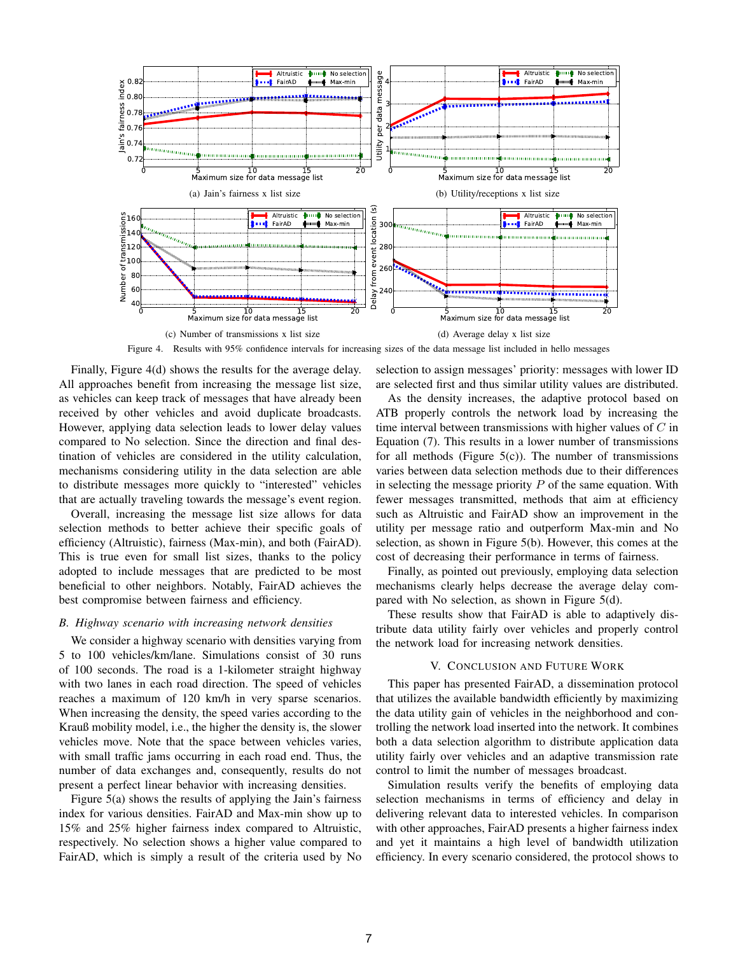

Figure 4. Results with 95% confidence intervals for increasing sizes of the data message list included in hello messages

Finally, Figure 4(d) shows the results for the average delay. All approaches benefit from increasing the message list size, as vehicles can keep track of messages that have already been received by other vehicles and avoid duplicate broadcasts. However, applying data selection leads to lower delay values compared to No selection. Since the direction and final destination of vehicles are considered in the utility calculation, mechanisms considering utility in the data selection are able to distribute messages more quickly to "interested" vehicles that are actually traveling towards the message's event region.

Overall, increasing the message list size allows for data selection methods to better achieve their specific goals of efficiency (Altruistic), fairness (Max-min), and both (FairAD). This is true even for small list sizes, thanks to the policy adopted to include messages that are predicted to be most beneficial to other neighbors. Notably, FairAD achieves the best compromise between fairness and efficiency.

### *B. Highway scenario with increasing network densities*

We consider a highway scenario with densities varying from 5 to 100 vehicles/km/lane. Simulations consist of 30 runs of 100 seconds. The road is a 1-kilometer straight highway with two lanes in each road direction. The speed of vehicles reaches a maximum of 120 km/h in very sparse scenarios. When increasing the density, the speed varies according to the Krauß mobility model, i.e., the higher the density is, the slower vehicles move. Note that the space between vehicles varies, with small traffic jams occurring in each road end. Thus, the number of data exchanges and, consequently, results do not present a perfect linear behavior with increasing densities.

Figure 5(a) shows the results of applying the Jain's fairness index for various densities. FairAD and Max-min show up to 15% and 25% higher fairness index compared to Altruistic, respectively. No selection shows a higher value compared to FairAD, which is simply a result of the criteria used by No selection to assign messages' priority: messages with lower ID are selected first and thus similar utility values are distributed.

As the density increases, the adaptive protocol based on ATB properly controls the network load by increasing the time interval between transmissions with higher values of  $C$  in Equation (7). This results in a lower number of transmissions for all methods (Figure  $5(c)$ ). The number of transmissions varies between data selection methods due to their differences in selecting the message priority  $P$  of the same equation. With fewer messages transmitted, methods that aim at efficiency such as Altruistic and FairAD show an improvement in the utility per message ratio and outperform Max-min and No selection, as shown in Figure 5(b). However, this comes at the cost of decreasing their performance in terms of fairness.

Finally, as pointed out previously, employing data selection mechanisms clearly helps decrease the average delay compared with No selection, as shown in Figure 5(d).

These results show that FairAD is able to adaptively distribute data utility fairly over vehicles and properly control the network load for increasing network densities.

### V. CONCLUSION AND FUTURE WORK

This paper has presented FairAD, a dissemination protocol that utilizes the available bandwidth efficiently by maximizing the data utility gain of vehicles in the neighborhood and controlling the network load inserted into the network. It combines both a data selection algorithm to distribute application data utility fairly over vehicles and an adaptive transmission rate control to limit the number of messages broadcast.

Simulation results verify the benefits of employing data selection mechanisms in terms of efficiency and delay in delivering relevant data to interested vehicles. In comparison with other approaches, FairAD presents a higher fairness index and yet it maintains a high level of bandwidth utilization efficiency. In every scenario considered, the protocol shows to